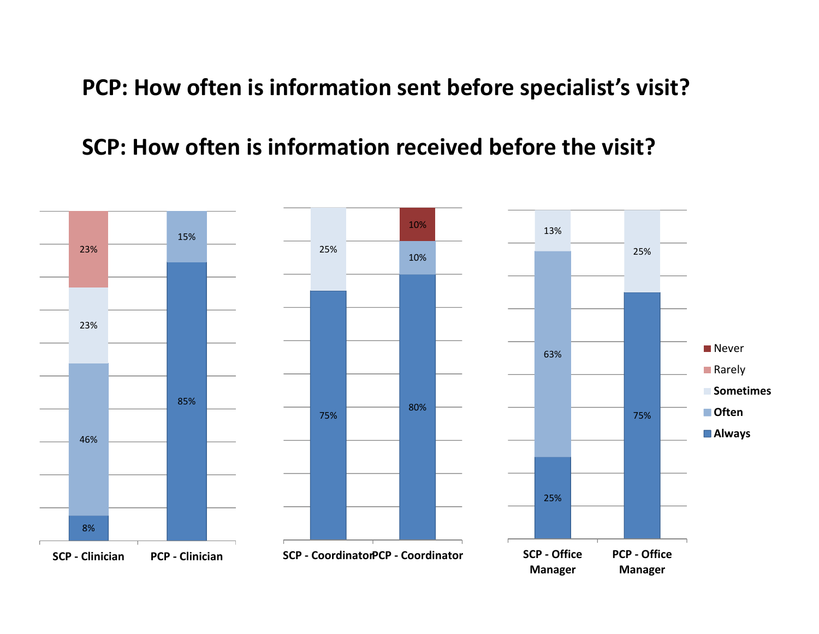**PCP: How often is information sent before specialist's visit?**

**SCP: How often is information received before the visit?**

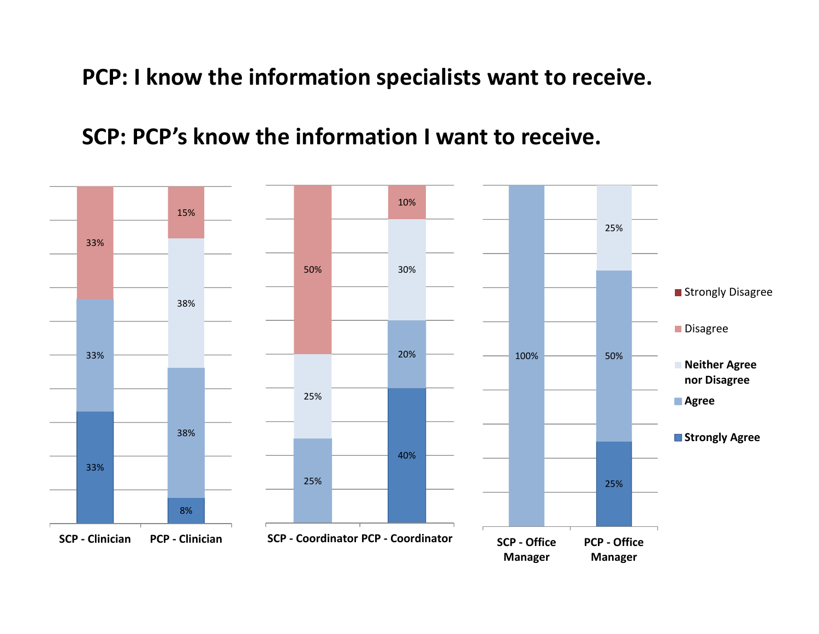**PCP: I know the information specialists want to receive.**

**SCP: PCP's know the information I want to receive.**

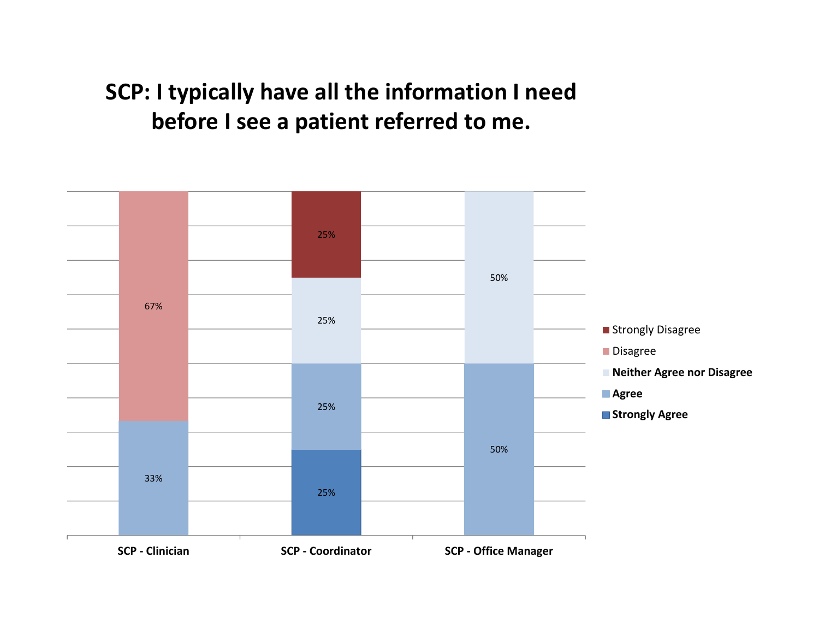## **SCP: I typically have all the information I need before I see <sup>a</sup> patient referred to me.**

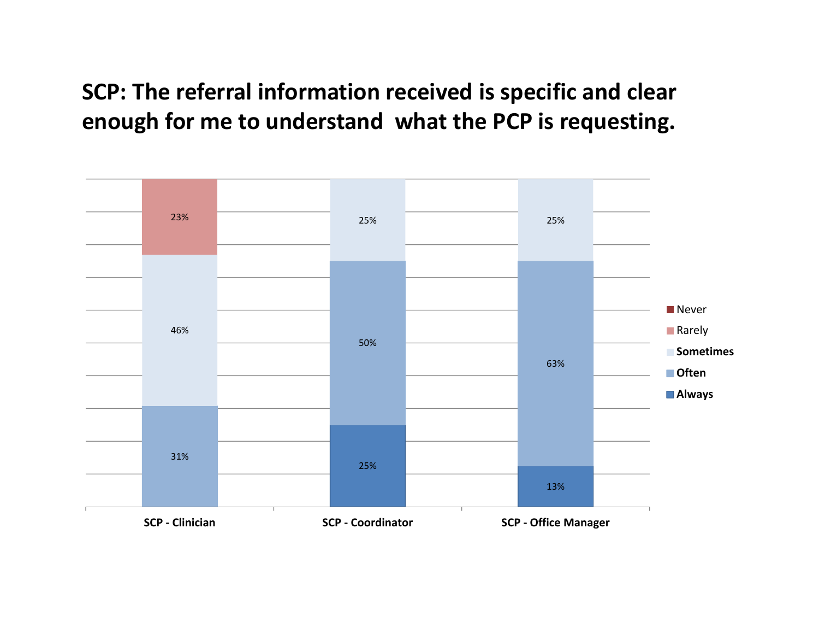**SCP: The referral information received is specific and clear enough for me to understand what the PCP is requesting.**

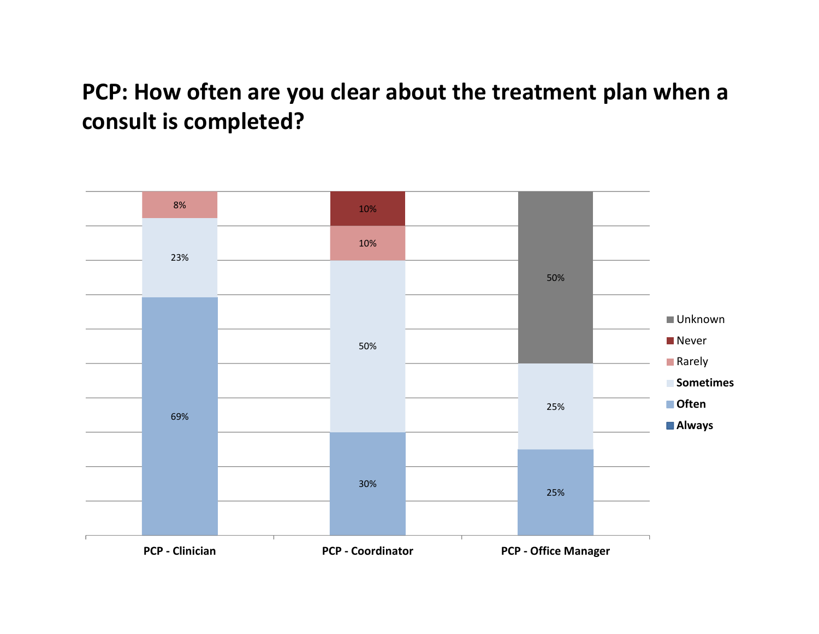## **PCP: How often are you clear about the treatment plan when <sup>a</sup> consult is completed?**

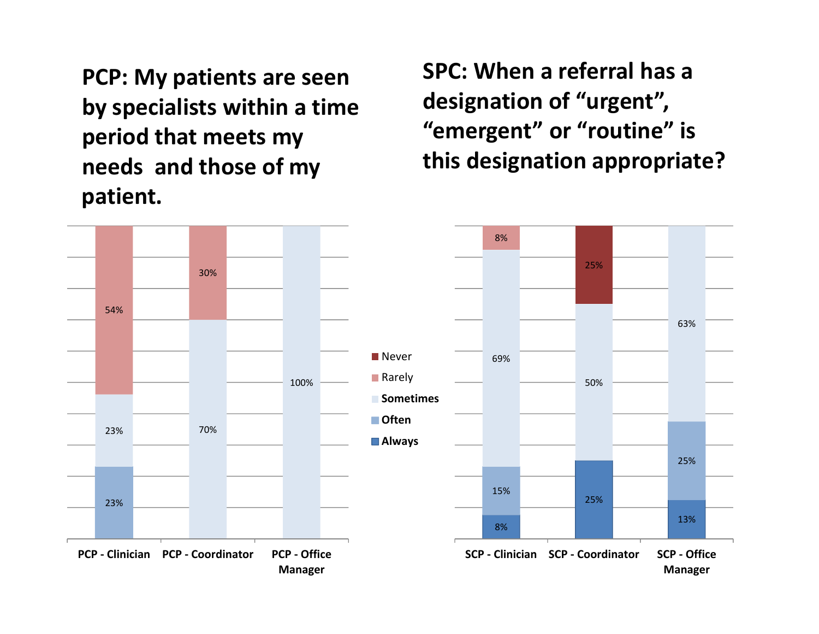**PCP: My patients are seen by specialists within <sup>a</sup> time period that meets my needs and those of my patient.**

**SPC: When <sup>a</sup> referral has <sup>a</sup> designation of "urgent", "emergent" or "routine" is this designation appropriate?**

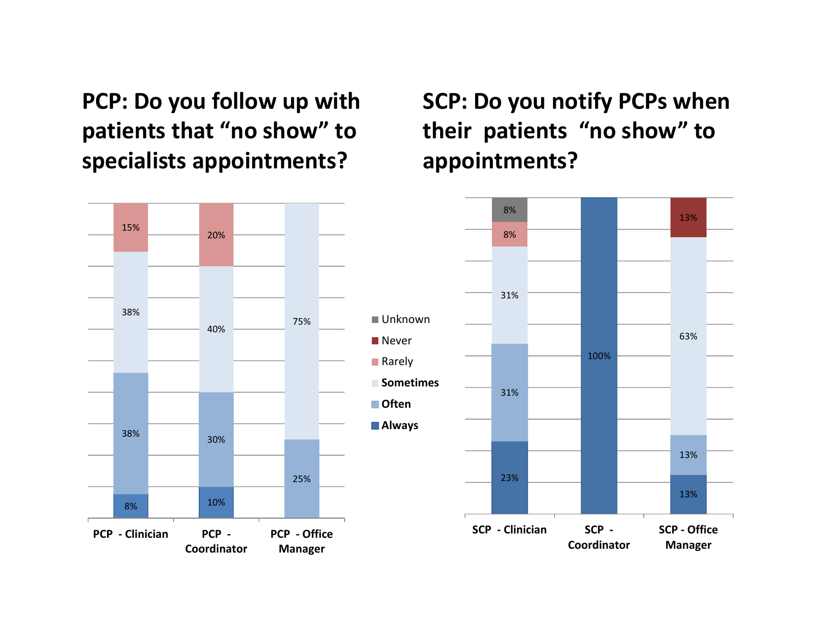**PCP: Do you follow up with patients that "no show" to specialists appointments?**

**SCP: Do you notify PCPs when their patients "no show" to appointments?**

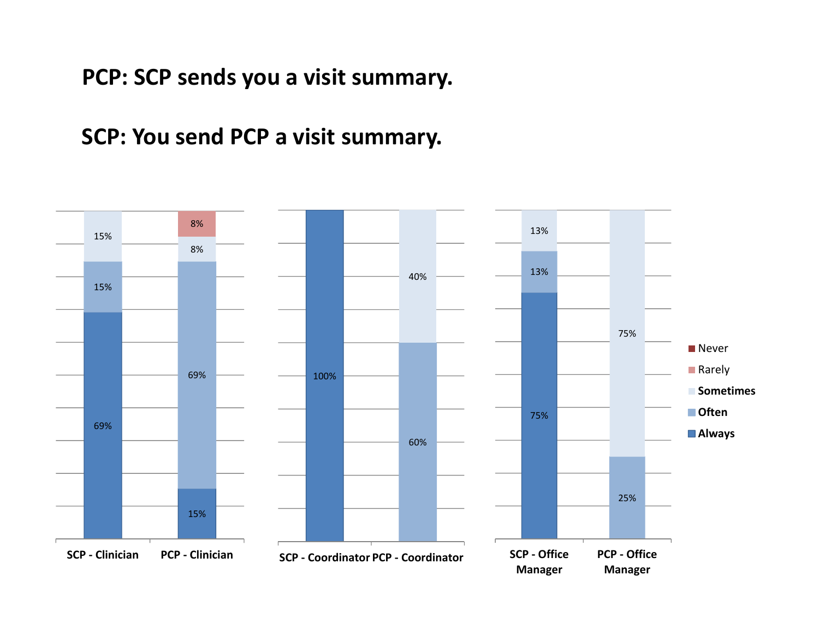**PCP: SCP sends you <sup>a</sup> visit summary.**

**SCP: You send PCP <sup>a</sup> visit summary.**

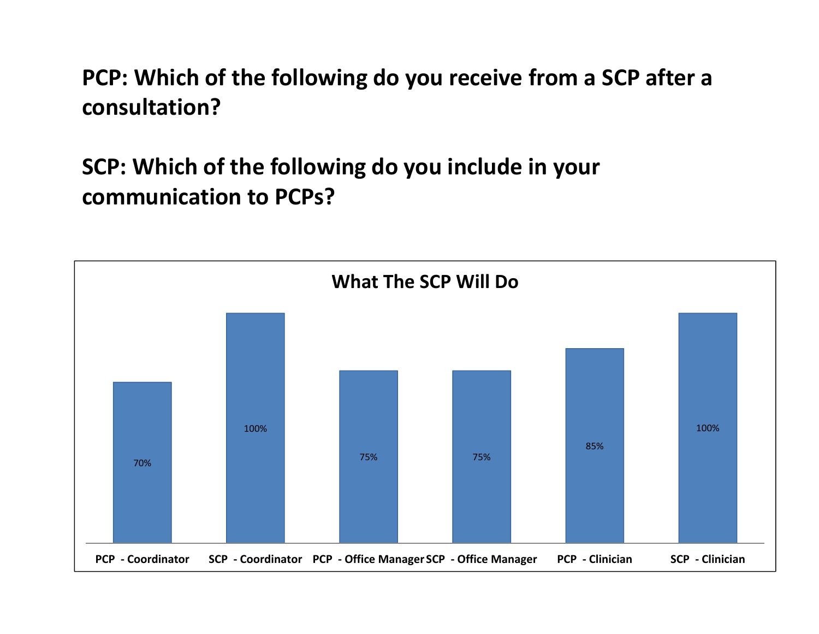**PCP: Which of the following do you receive from <sup>a</sup> SCP after <sup>a</sup> consultation?**

**SCP: Which of the following do you include in your communication to PCPs?**

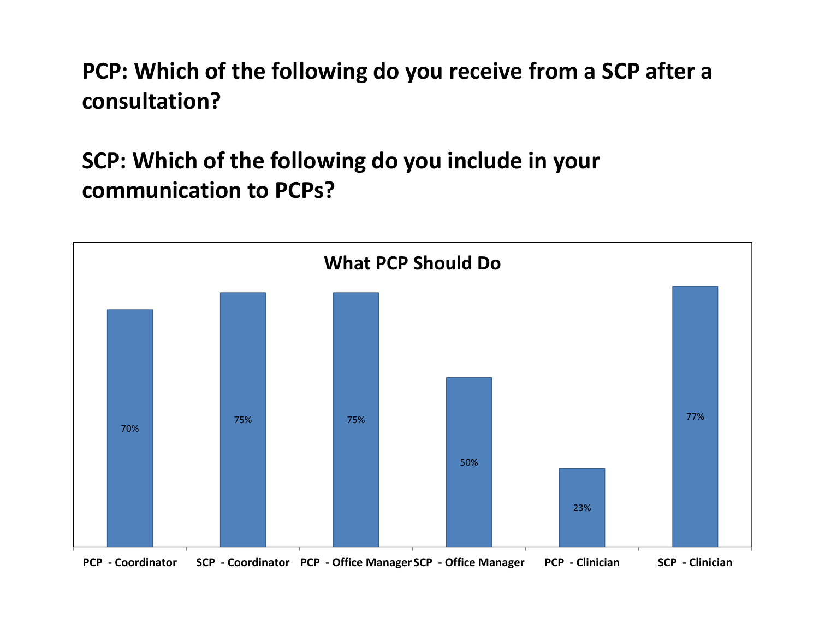**PCP: Which of the following do you receive from <sup>a</sup> SCP after <sup>a</sup> consultation?**

**SCP: Which of the following do you include in your communication to PCPs?**

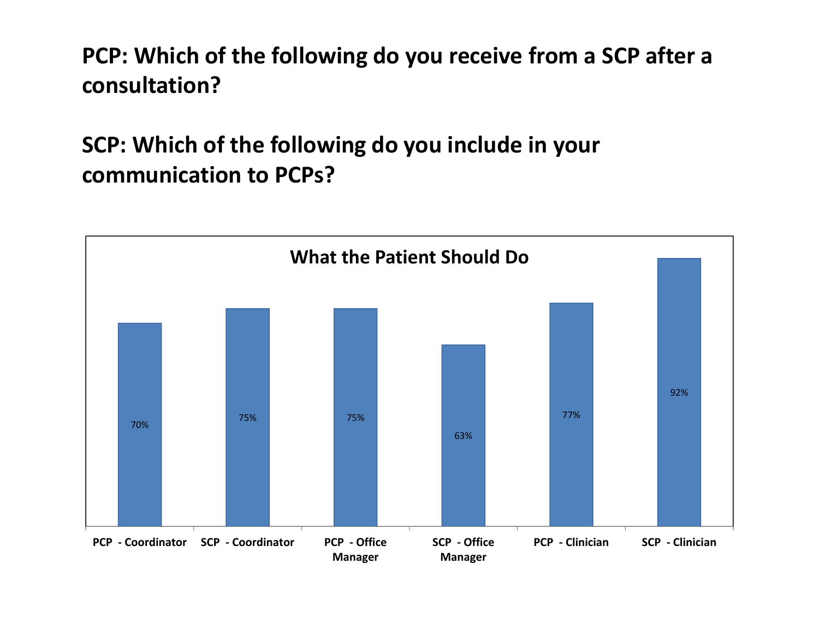**PCP: Which of the following do you receive from <sup>a</sup> SCP after <sup>a</sup> consultation?**

**SCP: Which of the following do you include in your communication to PCPs?**

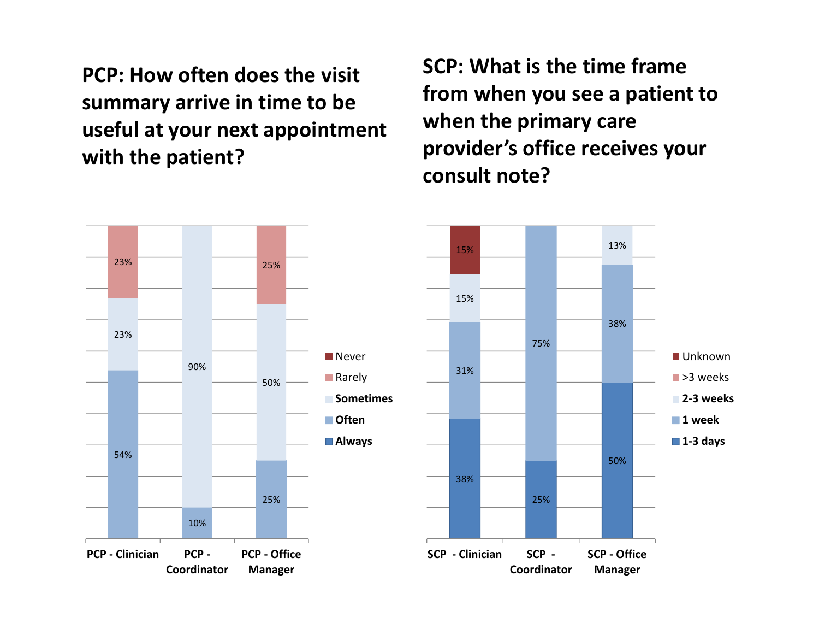**PCP: How often does the visit summary arrive in time to be useful at your next appointment with the patient?**

**SCP: What is the time frame from when you see <sup>a</sup> patient to when the primary care provider's office receives your consult note?**



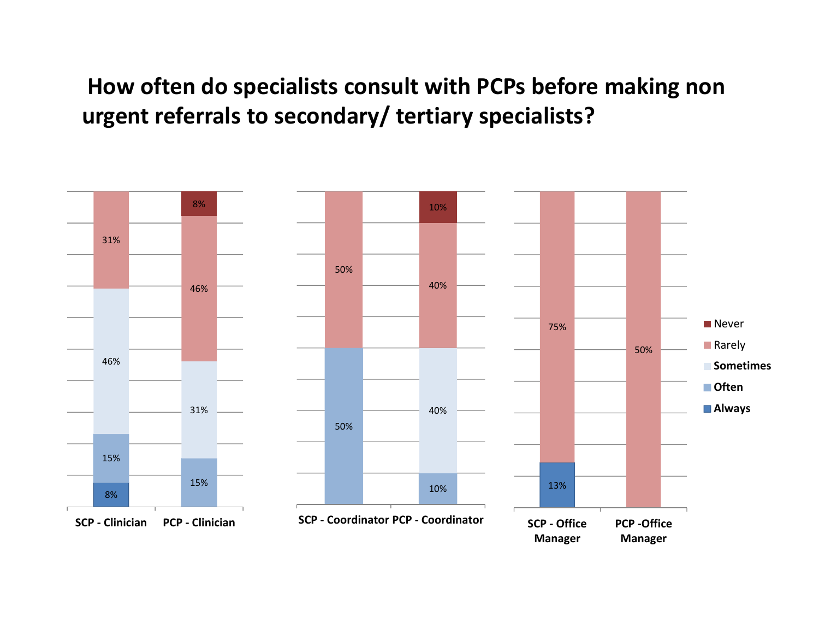## **How often do specialists consult with PCPs before making non urgent referrals to secondary/ tertiary specialists?**

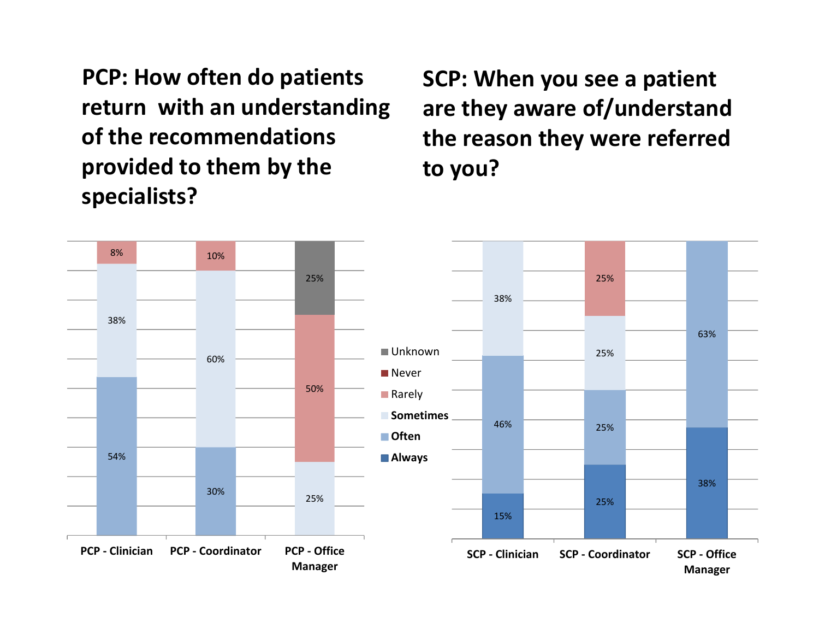**PCP: How often do patients return with an understanding of the recommendations provided to them by the specialists?**

**SCP: When you see <sup>a</sup> patient are they aware of/understand the reason they were referred to you?**